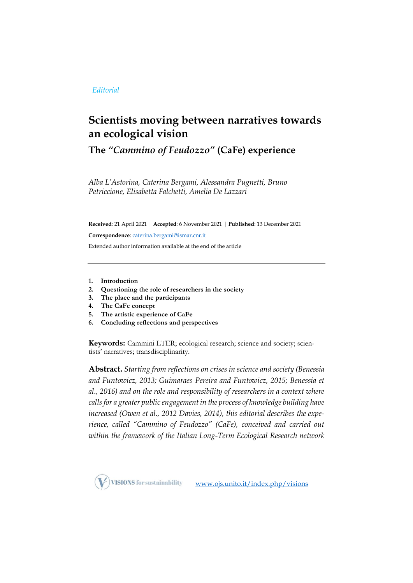# **Scientists moving between narratives towards an ecological vision**

**The** *"Cammino of Feudozzo"* **(CaFe) experience**

*Alba L'Astorina, Caterina Bergami, Alessandra Pugnetti, Bruno Petriccione, Elisabetta Falchetti, Amelia De Lazzari*

**Received**: 21 April 2021 | **Accepted**: 6 November 2021 | **Published**: 13 December 2021

**Correspondence**[: caterina.bergami@ismar.cnr.it](mailto:caterina.bergami@ismar.cnr.it)

Extended author information available at the end of the article

- **1. Introduction**
- **2. Questioning the role of researchers in the society**
- **3. The place and the participants**
- **4. The CaFe concept**
- **5. The artistic experience of CaFe**
- **6. Concluding reflections and perspectives**

**Keywords:** Cammini LTER; ecological research; science and society; scientists' narratives; transdisciplinarity.

**Abstract.** *Starting from reflections on crises in science and society (Benessia and Funtowicz, 2013; Guimaraes Pereira and Funtowicz, 2015; Benessia et al., 2016) and on the role and responsibility of researchers in a context where calls for a greater public engagement in the process of knowledge building have increased (Owen et al., 2012 Davies, 2014), this editorial describes the experience, called "Cammino of Feudozzo" (CaFe), conceived and carried out within the framework of the Italian Long-Term Ecological Research network* 

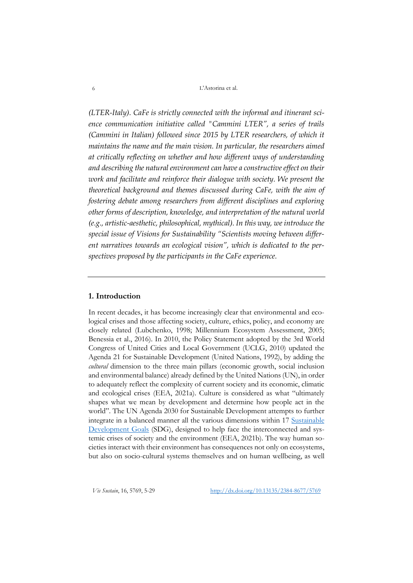*(LTER-Italy). CaFe is strictly connected with the informal and itinerant science communication initiative called "Cammini LTER", a series of trails (Cammini in Italian) followed since 2015 by LTER researchers, of which it maintains the name and the main vision. In particular, the researchers aimed at critically reflecting on whether and how different ways of understanding and describing the natural environment can have a constructive effect on their work and facilitate and reinforce their dialogue with society. We present the theoretical background and themes discussed during CaFe, with the aim of fostering debate among researchers from different disciplines and exploring other forms of description, knowledge, and interpretation of the natural world (e.g., artistic-aesthetic, philosophical, mythical). In this way, we introduce the special issue of Visions for Sustainability "Scientists moving between different narratives towards an ecological vision", which is dedicated to the perspectives proposed by the participants in the CaFe experience.* 

## **1. Introduction**

In recent decades, it has become increasingly clear that environmental and ecological crises and those affecting society, culture, ethics, policy, and economy are closely related (Lubchenko, 1998; Millennium Ecosystem Assessment, 2005; Benessia et al., 2016). In 2010, the Policy Statement adopted by the 3rd World Congress of United Cities and Local Government (UCLG, 2010) updated the Agenda 21 for Sustainable Development (United Nations, 1992), by adding the *cultural* dimension to the three main pillars (economic growth, social inclusion and environmental balance) already defined by the United Nations (UN), in order to adequately reflect the complexity of current society and its economic, climatic and ecological crises (EEA, 2021a). Culture is considered as what "ultimately shapes what we mean by development and determine how people act in the world". The UN Agenda 2030 for Sustainable Development attempts to further integrate in a balanced manner all the various dimensions within 17 [Sustainable](https://www.undp.org/content/undp/en/home/sustainable-development-goals.html)  [Development Goals](https://www.undp.org/content/undp/en/home/sustainable-development-goals.html) (SDG), designed to help face the interconnected and systemic crises of society and the environment (EEA, 2021b). The way human societies interact with their environment has consequences not only on ecosystems, but also on socio-cultural systems themselves and on human wellbeing, as well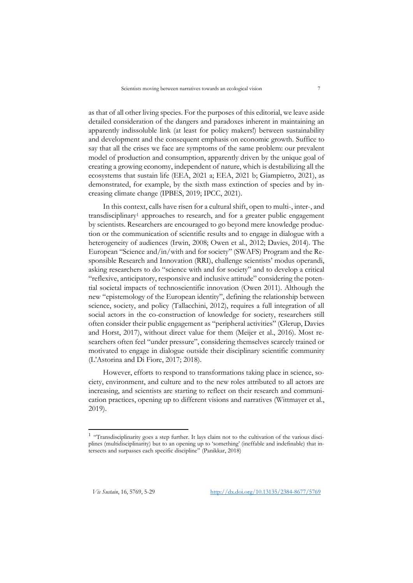as that of all other living species. For the purposes of this editorial, we leave aside detailed consideration of the dangers and paradoxes inherent in maintaining an apparently indissoluble link (at least for policy makers!) between sustainability and development and the consequent emphasis on economic growth. Suffice to say that all the crises we face are symptoms of the same problem: our prevalent model of production and consumption, apparently driven by the unique goal of creating a growing economy, independent of nature, which is destabilizing all the ecosystems that sustain life (EEA, 2021 a; EEA, 2021 b; Giampietro, 2021), as demonstrated, for example, by the sixth mass extinction of species and by increasing climate change (IPBES, 2019; IPCC, 2021).

In this context, calls have risen for a cultural shift, open to multi-, inter-, and transdisciplinary<sup>1</sup> approaches to research, and for a greater public engagement by scientists. Researchers are encouraged to go beyond mere knowledge production or the communication of scientific results and to engage in dialogue with a heterogeneity of audiences (Irwin, 2008; Owen et al., 2012; Davies, 2014). The European "Science and/in/with and for society" (SWAFS) Program and the Responsible Research and Innovation (RRI), challenge scientists' modus operandi, asking researchers to do "science with and for society" and to develop a critical "reflexive, anticipatory, responsive and inclusive attitude" considering the potential societal impacts of technoscientific innovation (Owen 2011). Although the new "epistemology of the European identity", defining the relationship between science, society, and policy (Tallacchini, 2012), requires a full integration of all social actors in the co-construction of knowledge for society, researchers still often consider their public engagement as "peripheral activities" (Glerup, Davies and Horst, 2017), without direct value for them (Meijer et al., 2016). Most researchers often feel "under pressure", considering themselves scarcely trained or motivated to engage in dialogue outside their disciplinary scientific community (L'Astorina and Di Fiore, 2017; 2018).

However, efforts to respond to transformations taking place in science, society, environment, and culture and to the new roles attributed to all actors are increasing, and scientists are starting to reflect on their research and communication practices, opening up to different visions and narratives (Wittmayer et al., 2019).

<sup>&</sup>lt;sup>1</sup> "Transdisciplinarity goes a step further. It lays claim not to the cultivation of the various disciplines (multidisciplinarity) but to an opening up to 'something' (ineffable and indefinable) that intersects and surpasses each specific discipline" (Panikkar, 2018)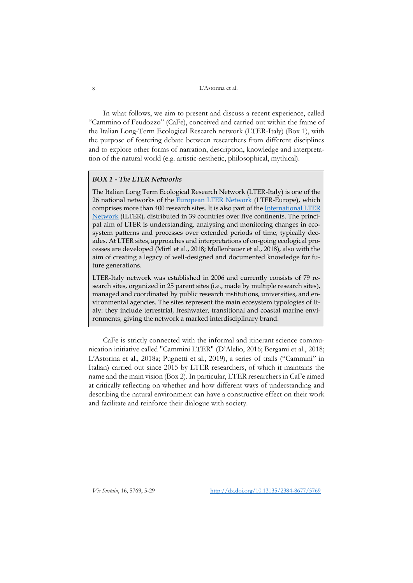In what follows, we aim to present and discuss a recent experience, called "Cammino of Feudozzo" (CaFe), conceived and carried out within the frame of the Italian Long-Term Ecological Research network (LTER-Italy) (Box 1), with the purpose of fostering debate between researchers from different disciplines and to explore other forms of narration, description, knowledge and interpretation of the natural world (e.g. artistic-aesthetic, philosophical, mythical).

# *BOX 1 - The LTER Networks*

The Italian Long Term Ecological Research Network (LTER-Italy) is one of the 26 national networks of the [European LTER Network](https://elter-ri.eu/) (LTER-Europe), which comprises more than 400 research sites. It is also part of th[e International LTER](https://www.ilter.network/)  [Network](https://www.ilter.network/) (ILTER), distributed in 39 countries over five continents. The principal aim of LTER is understanding, analysing and monitoring changes in ecosystem patterns and processes over extended periods of time, typically decades. At LTER sites, approaches and interpretations of on-going ecological processes are developed (Mirtl et al., 2018; Mollenhauer et al., 2018), also with the aim of creating a legacy of well-designed and documented knowledge for future generations.

LTER-Italy network was established in 2006 and currently consists of 79 research sites, organized in 25 parent sites (i.e., made by multiple research sites), managed and coordinated by public research institutions, universities, and environmental agencies. The sites represent the main ecosystem typologies of Italy: they include terrestrial, freshwater, transitional and coastal marine environments, giving the network a marked interdisciplinary brand.

CaFe is strictly connected with the informal and itinerant science communication initiative called "Cammini LTER" (D'Alelio, 2016; Bergami et al., 2018; L'Astorina et al., 2018a; Pugnetti et al., 2019), a series of trails ("Cammini" in Italian) carried out since 2015 by LTER researchers, of which it maintains the name and the main vision (Box 2). In particular, LTER researchers in CaFe aimed at critically reflecting on whether and how different ways of understanding and describing the natural environment can have a constructive effect on their work and facilitate and reinforce their dialogue with society.

*Vis Sustain*, 16, 5769, 5-29 [http://dx.doi.org/10.13135/2384-8677/5](http://dx.doi.org/10.13135/2384-8677/)769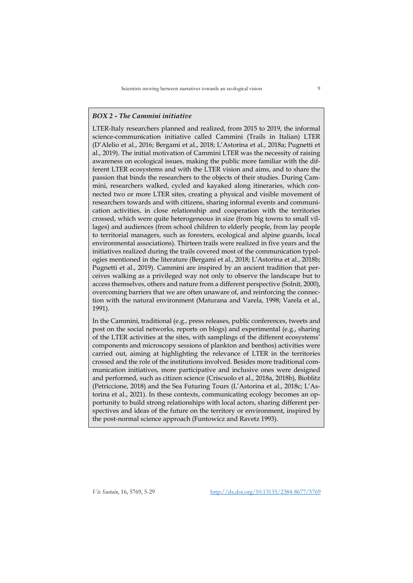## *BOX 2 - The Cammini initiative*

LTER-Italy researchers planned and realized, from 2015 to 2019, the informal science-communication initiative called Cammini (Trails in Italian) LTER (D'Alelio et al., 2016; Bergami et al., 2018; L'Astorina et al., 2018a; Pugnetti et al., 2019). The initial motivation of Cammini LTER was the necessity of raising awareness on ecological issues, making the public more familiar with the different LTER ecosystems and with the LTER vision and aims, and to share the passion that binds the researchers to the objects of their studies. During Cammini, researchers walked, cycled and kayaked along itineraries, which connected two or more LTER sites, creating a physical and visible movement of researchers towards and with citizens, sharing informal events and communication activities, in close relationship and cooperation with the territories crossed, which were quite heterogeneous in size (from big towns to small villages) and audiences (from school children to elderly people, from lay people to territorial managers, such as foresters, ecological and alpine guards, local environmental associations). Thirteen trails were realized in five years and the initiatives realized during the trails covered most of the communication typologies mentioned in the literature (Bergami et al., 2018; L'Astorina et al., 2018b; Pugnetti et al., 2019). Cammini are inspired by an ancient tradition that perceives walking as a privileged way not only to observe the landscape but to access themselves, others and nature from a different perspective (Solnit, 2000), overcoming barriers that we are often unaware of, and reinforcing the connection with the natural environment (Maturana and Varela, 1998; Varela et al., 1991).

In the Cammini, traditional (e.g., press releases, public conferences, tweets and post on the social networks, reports on blogs) and experimental (e.g., sharing of the LTER activities at the sites, with samplings of the different ecosystems' components and microscopy sessions of plankton and benthos) activities were carried out, aiming at highlighting the relevance of LTER in the territories crossed and the role of the institutions involved. Besides more traditional communication initiatives, more participative and inclusive ones were designed and performed, such as citizen science (Criscuolo et al., 2018a, 2018b), Bioblitz (Petriccione, 2018) and the Sea Futuring Tours (L'Astorina et al., 2018c; L'Astorina et al., 2021). In these contexts, communicating ecology becomes an opportunity to build strong relationships with local actors, sharing different perspectives and ideas of the future on the territory or environment, inspired by the post-normal science approach (Funtowicz and Ravetz 1993).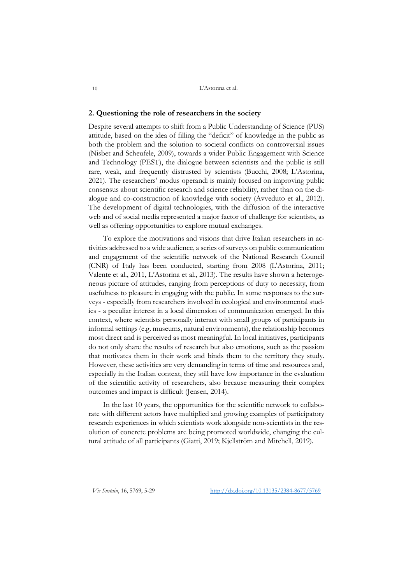#### **2. Questioning the role of researchers in the society**

Despite several attempts to shift from a Public Understanding of Science (PUS) attitude, based on the idea of filling the "deficit" of knowledge in the public as both the problem and the solution to societal conflicts on controversial issues (Nisbet and Scheufele, 2009), towards a wider Public Engagement with Science and Technology (PEST), the dialogue between scientists and the public is still rare, weak, and frequently distrusted by scientists (Bucchi, 2008; L'Astorina, 2021). The researchers' modus operandi is mainly focused on improving public consensus about scientific research and science reliability, rather than on the dialogue and co-construction of knowledge with society (Avveduto et al., 2012). The development of digital technologies, with the diffusion of the interactive web and of social media represented a major factor of challenge for scientists, as well as offering opportunities to explore mutual exchanges.

To explore the motivations and visions that drive Italian researchers in activities addressed to a wide audience, a series of surveys on public communication and engagement of the scientific network of the National Research Council (CNR) of Italy has been conducted, starting from 2008 (L'Astorina, 2011; Valente et al., 2011, L'Astorina et al., 2013). The results have shown a heterogeneous picture of attitudes, ranging from perceptions of duty to necessity, from usefulness to pleasure in engaging with the public. In some responses to the surveys - especially from researchers involved in ecological and environmental studies - a peculiar interest in a local dimension of communication emerged. In this context, where scientists personally interact with small groups of participants in informal settings (e.g. museums, natural environments), the relationship becomes most direct and is perceived as most meaningful. In local initiatives, participants do not only share the results of research but also emotions, such as the passion that motivates them in their work and binds them to the territory they study. However, these activities are very demanding in terms of time and resources and, especially in the Italian context, they still have low importance in the evaluation of the scientific activity of researchers, also because measuring their complex outcomes and impact is difficult (Jensen, 2014).

In the last 10 years, the opportunities for the scientific network to collaborate with different actors have multiplied and growing examples of participatory research experiences in which scientists work alongside non-scientists in the resolution of concrete problems are being promoted worldwide, changing the cultural attitude of all participants (Giatti, 2019; Kjellström and Mitchell, 2019).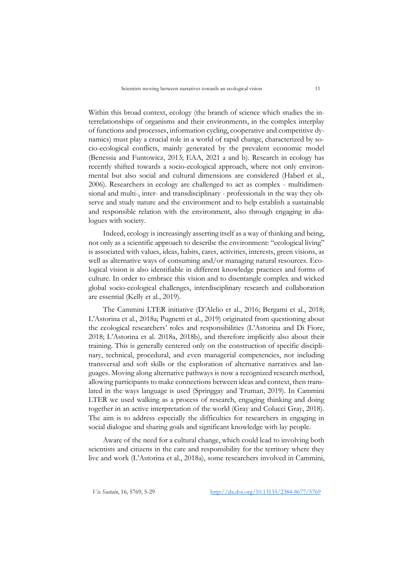Within this broad context, ecology (the branch of science which studies the interrelationships of organisms and their environments, in the complex interplay of functions and processes, information cycling, cooperative and competitive dynamics) must play a crucial role in a world of rapid change, characterized by socio-ecological conflicts, mainly generated by the prevalent economic model (Benessia and Funtowicz, 2013; EAA, 2021 a and b). Research in ecology has recently shifted towards a socio-ecological approach, where not only environmental but also social and cultural dimensions are considered (Haberl et al., 2006). Researchers in ecology are challenged to act as complex - multidimensional and multi-, inter- and transdisciplinary - professionals in the way they observe and study nature and the environment and to help establish a sustainable and responsible relation with the environment, also through engaging in dialogues with society.

Indeed, ecology is increasingly asserting itself as a way of thinking and being, not only as a scientific approach to describe the environment: "ecological living" is associated with values, ideas, habits, cares, activities, interests, green visions, as well as alternative ways of consuming and/or managing natural resources. Ecological vision is also identifiable in different knowledge practices and forms of culture. In order to embrace this vision and to disentangle complex and wicked global socio-ecological challenges, interdisciplinary research and collaboration are essential (Kelly et al., 2019).

The Cammini LTER initiative (D'Alelio et al., 2016; Bergami et al., 2018; L'Astorina et al., 2018a; Pugnetti et al., 2019) originated from questioning about the ecological researchers' roles and responsibilities (L'Astorina and Di Fiore, 2018; L'Astorina et al. 2018a, 2018b), and therefore implicitly also about their training. This is generally centered only on the construction of specific disciplinary, technical, procedural, and even managerial competencies, not including transversal and soft skills or the exploration of alternative narratives and languages. Moving along alternative pathways is now a recognized research method, allowing participants to make connections between ideas and context, then translated in the ways language is used (Springgay and Truman, 2019). In Cammini LTER we used walking as a process of research, engaging thinking and doing together in an active interpretation of the world (Gray and Colucci Gray, 2018). The aim is to address especially the difficulties for researchers in engaging in social dialogue and sharing goals and significant knowledge with lay people.

Aware of the need for a cultural change, which could lead to involving both scientists and citizens in the care and responsibility for the territory where they live and work (L'Astorina et al., 2018a), some researchers involved in Cammini,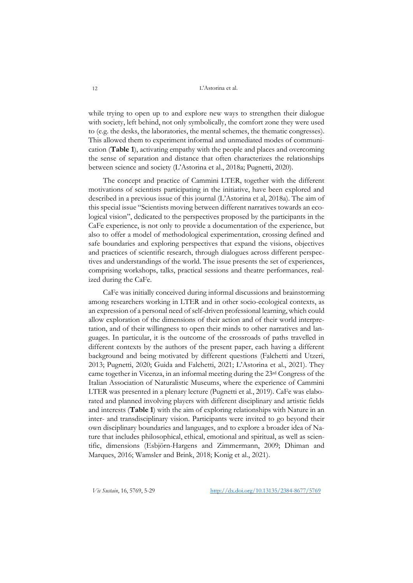while trying to open up to and explore new ways to strengthen their dialogue with society, left behind, not only symbolically, the comfort zone they were used to (e.g. the desks, the laboratories, the mental schemes, the thematic congresses). This allowed them to experiment informal and unmediated modes of communication (**Table 1**), activating empathy with the people and places and overcoming the sense of separation and distance that often characterizes the relationships between science and society (L'Astorina et al., 2018a; Pugnetti, 2020).

The concept and practice of Cammini LTER, together with the different motivations of scientists participating in the initiative, have been explored and described in a previous issue of this journal (L'Astorina et al, 2018a). The aim of this special issue "Scientists moving between different narratives towards an ecological vision", dedicated to the perspectives proposed by the participants in the CaFe experience, is not only to provide a documentation of the experience, but also to offer a model of methodological experimentation, crossing defined and safe boundaries and exploring perspectives that expand the visions, objectives and practices of scientific research, through dialogues across different perspectives and understandings of the world. The issue presents the set of experiences, comprising workshops, talks, practical sessions and theatre performances, realized during the CaFe.

CaFe was initially conceived during informal discussions and brainstorming among researchers working in LTER and in other socio-ecological contexts, as an expression of a personal need of self-driven professional learning, which could allow exploration of the dimensions of their action and of their world interpretation, and of their willingness to open their minds to other narratives and languages. In particular, it is the outcome of the crossroads of paths travelled in different contexts by the authors of the present paper, each having a different background and being motivated by different questions (Falchetti and Utzeri, 2013; Pugnetti, 2020; Guida and Falchetti, 2021; L'Astorina et al., 2021). They came together in Vicenza, in an informal meeting during the 23rd Congress of the Italian Association of Naturalistic Museums, where the experience of Cammini LTER was presented in a plenary lecture (Pugnetti et al., 2019). CaFe was elaborated and planned involving players with different disciplinary and artistic fields and interests (**Table 1**) with the aim of exploring relationships with Nature in an inter- and transdisciplinary vision. Participants were invited to go beyond their own disciplinary boundaries and languages, and to explore a broader idea of Nature that includes philosophical, ethical, emotional and spiritual, as well as scientific, dimensions (Esbjörn-Hargens and Zimmermann, 2009; Dhiman and Marques, 2016; Wamsler and Brink, 2018; Konig et al., 2021).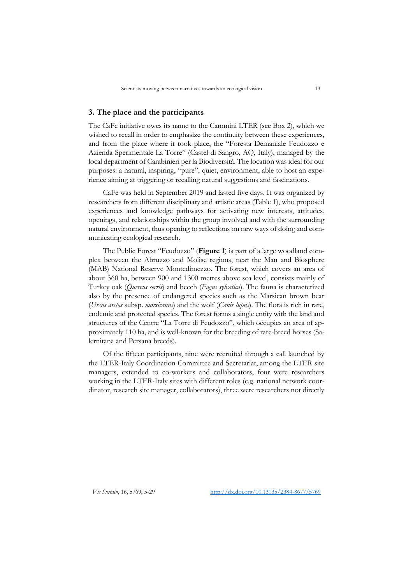## **3. The place and the participants**

The CaFe initiative owes its name to the Cammini LTER (see Box 2), which we wished to recall in order to emphasize the continuity between these experiences, and from the place where it took place, the "Foresta Demaniale Feudozzo e Azienda Sperimentale La Torre" (Castel di Sangro, AQ, Italy), managed by the local department of Carabinieri per la Biodiversità. The location was ideal for our purposes: a natural, inspiring, "pure", quiet, environment, able to host an experience aiming at triggering or recalling natural suggestions and fascinations.

CaFe was held in September 2019 and lasted five days. It was organized by researchers from different disciplinary and artistic areas (Table 1), who proposed experiences and knowledge pathways for activating new interests, attitudes, openings, and relationships within the group involved and with the surrounding natural environment, thus opening to reflections on new ways of doing and communicating ecological research.

The Public Forest "Feudozzo" (**Figure 1**) is part of a large woodland complex between the Abruzzo and Molise regions, near the Man and Biosphere (MAB) National Reserve Montedimezzo. The forest, which covers an area of about 360 ha, between 900 and 1300 metres above sea level, consists mainly of Turkey oak (*Quercus cerris*) and beech (*Fagus sylvatica*). The fauna is characterized also by the presence of endangered species such as the Marsican brown bear (*Ursus arctos* subsp. *marsicanus*) and the wolf (*Canis lupus*). The flora is rich in rare, endemic and protected species. The forest forms a single entity with the land and structures of the Centre "La Torre di Feudozzo", which occupies an area of approximately 110 ha, and is well-known for the breeding of rare-breed horses (Salernitana and Persana breeds).

Of the fifteen participants, nine were recruited through a call launched by the LTER-Italy Coordination Committee and Secretariat, among the LTER site managers, extended to co-workers and collaborators, four were researchers working in the LTER-Italy sites with different roles (e.g. national network coordinator, research site manager, collaborators), three were researchers not directly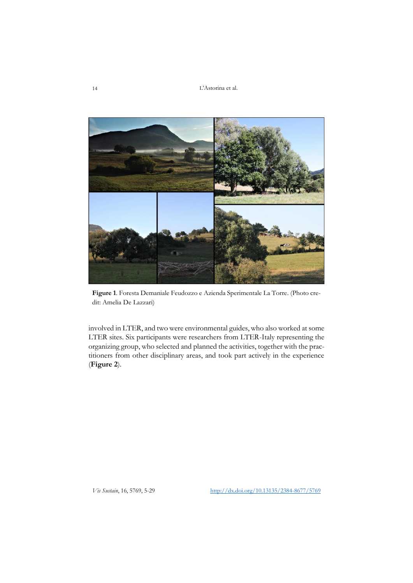

**Figure 1**. Foresta Demaniale Feudozzo e Azienda Sperimentale La Torre. (Photo credit: Amelia De Lazzari)

involved in LTER, and two were environmental guides, who also worked at some LTER sites. Six participants were researchers from LTER-Italy representing the organizing group, who selected and planned the activities, together with the practitioners from other disciplinary areas, and took part actively in the experience (**Figure 2**).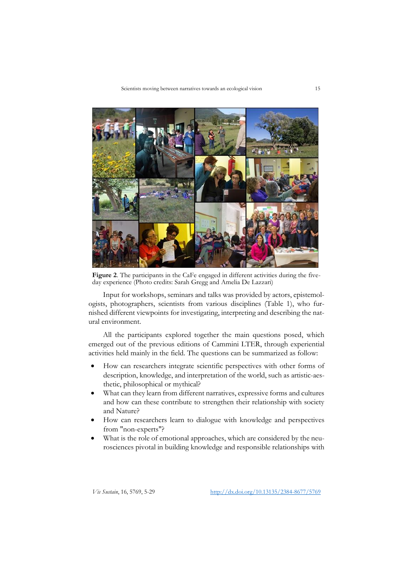

Figure 2. The participants in the CaFe engaged in different activities during the fiveday experience (Photo credits: Sarah Gregg and Amelia De Lazzari)

Input for workshops, seminars and talks was provided by actors, epistemologists, photographers, scientists from various disciplines (Table 1), who furnished different viewpoints for investigating, interpreting and describing the natural environment.

All the participants explored together the main questions posed, which emerged out of the previous editions of Cammini LTER, through experiential activities held mainly in the field. The questions can be summarized as follow:

- How can researchers integrate scientific perspectives with other forms of description, knowledge, and interpretation of the world, such as artistic-aesthetic, philosophical or mythical?
- What can they learn from different narratives, expressive forms and cultures and how can these contribute to strengthen their relationship with society and Nature?
- How can researchers learn to dialogue with knowledge and perspectives from "non-experts"?
- What is the role of emotional approaches, which are considered by the neurosciences pivotal in building knowledge and responsible relationships with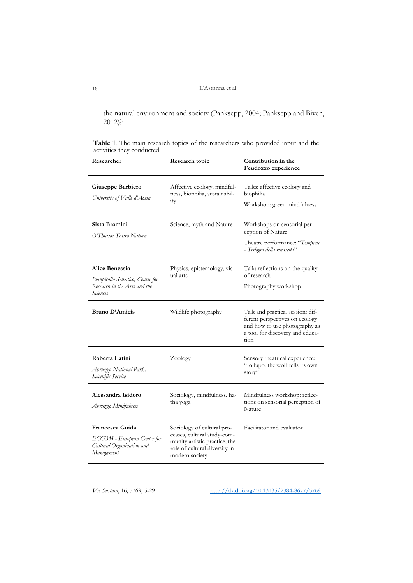the natural environment and society (Panksepp, 2004; Panksepp and Biven, 2012)?

**Table 1**. The main research topics of the researchers who provided input and the activities they conducted.

| Researcher                                                                                      | Research topic                                                                                                                                | Contribution in the<br>Feudozzo experience                                                                                                     |
|-------------------------------------------------------------------------------------------------|-----------------------------------------------------------------------------------------------------------------------------------------------|------------------------------------------------------------------------------------------------------------------------------------------------|
| Giuseppe Barbiero<br>University of Valle d'Aosta                                                | Affective ecology, mindful-<br>ness, biophilia, sustainabil-<br>1ty                                                                           | Talks: affective ecology and<br>biophilia<br>Workshop: green mindfulness                                                                       |
| Sista Bramini<br>O'Thiasos Teatro Natura                                                        | Science, myth and Nature                                                                                                                      | Workshops on sensorial per-<br>ception of Nature<br>Theatre performance: "Tempeste<br>- Trilogia della rinascita"                              |
| Alice Benessia<br>Pianpicollo Selvatico, Center for<br>Research in the Arts and the<br>Sciences | Physics, epistemology, vis-<br>ual arts                                                                                                       | Talk: reflections on the quality<br>of research<br>Photography workshop                                                                        |
| <b>Bruno D'Amicis</b>                                                                           | Wildlife photography                                                                                                                          | Talk and practical session: dif-<br>ferent perspectives on ecology<br>and how to use photography as<br>a tool for discovery and educa-<br>tion |
| Roberta Latini<br>Abruzzo National Park,<br>Scientific Service                                  | Zoology                                                                                                                                       | Sensory theatrical experience:<br>"Io lupo: the wolf tells its own<br>story"                                                                   |
| Alessandra Isidoro<br>Abruzzo Mindfulness                                                       | Sociology, mindfulness, ha-<br>tha yoga                                                                                                       | Mindfulness workshop: reflec-<br>tions on sensorial perception of<br>Nature                                                                    |
| Francesca Guida<br>ECCOM - European Center for<br>Cultural Organization and<br>Management       | Sociology of cultural pro-<br>cesses, cultural study-com-<br>munity artistic practice, the<br>role of cultural diversity in<br>modern society | Facilitator and evaluator                                                                                                                      |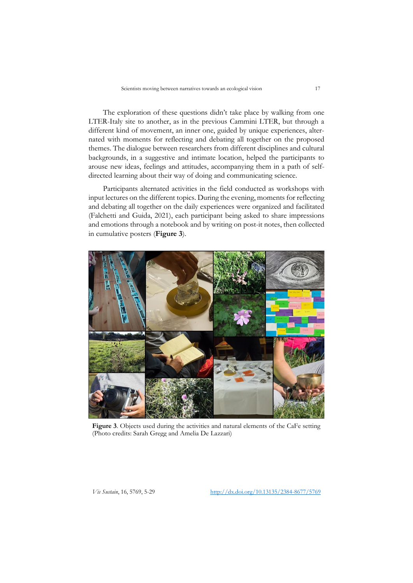The exploration of these questions didn't take place by walking from one LTER-Italy site to another, as in the previous Cammini LTER, but through a different kind of movement, an inner one, guided by unique experiences, alternated with moments for reflecting and debating all together on the proposed themes. The dialogue between researchers from different disciplines and cultural backgrounds, in a suggestive and intimate location, helped the participants to arouse new ideas, feelings and attitudes, accompanying them in a path of selfdirected learning about their way of doing and communicating science.

Participants alternated activities in the field conducted as workshops with input lectures on the different topics. During the evening, moments for reflecting and debating all together on the daily experiences were organized and facilitated (Falchetti and Guida, 2021), each participant being asked to share impressions and emotions through a notebook and by writing on post-it notes, then collected in cumulative posters (**Figure 3**).



**Figure 3**. Objects used during the activities and natural elements of the CaFe setting (Photo credits: Sarah Gregg and Amelia De Lazzari)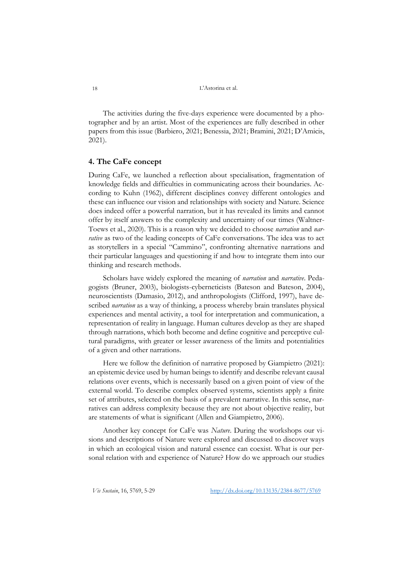The activities during the five-days experience were documented by a photographer and by an artist. Most of the experiences are fully described in other papers from this issue (Barbiero, 2021; Benessia, 2021; Bramini, 2021; D'Amicis, 2021).

## **4. The CaFe concept**

During CaFe, we launched a reflection about specialisation, fragmentation of knowledge fields and difficulties in communicating across their boundaries. According to Kuhn (1962), different disciplines convey different ontologies and these can influence our vision and relationships with society and Nature. Science does indeed offer a powerful narration, but it has revealed its limits and cannot offer by itself answers to the complexity and uncertainty of our times (Waltner-Toews et al., 2020). This is a reason why we decided to choose *narration* and *narrative* as two of the leading concepts of CaFe conversations. The idea was to act as storytellers in a special "Cammino", confronting alternative narrations and their particular languages and questioning if and how to integrate them into our thinking and research methods.

Scholars have widely explored the meaning of *narration* and *narrative*. Pedagogists (Bruner, 2003), biologists-cyberneticists (Bateson and Bateson, 2004), neuroscientists (Damasio, 2012), and anthropologists (Clifford, 1997), have described *narration* as a way of thinking, a process whereby brain translates physical experiences and mental activity, a tool for interpretation and communication, a representation of reality in language. Human cultures develop as they are shaped through narrations, which both become and define cognitive and perceptive cultural paradigms, with greater or lesser awareness of the limits and potentialities of a given and other narrations.

Here we follow the definition of narrative proposed by Giampietro (2021): an epistemic device used by human beings to identify and describe relevant causal relations over events, which is necessarily based on a given point of view of the external world. To describe complex observed systems, scientists apply a finite set of attributes, selected on the basis of a prevalent narrative. In this sense, narratives can address complexity because they are not about objective reality, but are statements of what is significant (Allen and Giampietro, 2006).

Another key concept for CaFe was *Nature*. During the workshops our visions and descriptions of Nature were explored and discussed to discover ways in which an ecological vision and natural essence can coexist. What is our personal relation with and experience of Nature? How do we approach our studies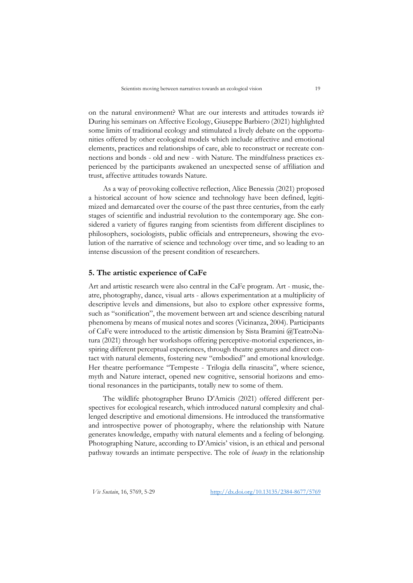on the natural environment? What are our interests and attitudes towards it? During his seminars on Affective Ecology, Giuseppe Barbiero (2021) highlighted some limits of traditional ecology and stimulated a lively debate on the opportunities offered by other ecological models which include affective and emotional elements, practices and relationships of care, able to reconstruct or recreate connections and bonds - old and new - with Nature. The mindfulness practices experienced by the participants awakened an unexpected sense of affiliation and trust, affective attitudes towards Nature.

As a way of provoking collective reflection, Alice Benessia (2021) proposed a historical account of how science and technology have been defined, legitimized and demarcated over the course of the past three centuries, from the early stages of scientific and industrial revolution to the contemporary age. She considered a variety of figures ranging from scientists from different disciplines to philosophers, sociologists, public officials and entrepreneurs, showing the evolution of the narrative of science and technology over time, and so leading to an intense discussion of the present condition of researchers.

## **5. The artistic experience of CaFe**

Art and artistic research were also central in the CaFe program. Art - music, theatre, photography, dance, visual arts - allows experimentation at a multiplicity of descriptive levels and dimensions, but also to explore other expressive forms, such as "sonification", the movement between art and science describing natural phenomena by means of musical notes and scores (Vicinanza, 2004). Participants of CaFe were introduced to the artistic dimension by Sista Bramini @TeatroNatura (2021) through her workshops offering perceptive-motorial experiences, inspiring different perceptual experiences, through theatre gestures and direct contact with natural elements, fostering new "embodied" and emotional knowledge. Her theatre performance "Tempeste - Trilogia della rinascita", where science, myth and Nature interact, opened new cognitive, sensorial horizons and emotional resonances in the participants, totally new to some of them.

The wildlife photographer Bruno D'Amicis (2021) offered different perspectives for ecological research, which introduced natural complexity and challenged descriptive and emotional dimensions. He introduced the transformative and introspective power of photography, where the relationship with Nature generates knowledge, empathy with natural elements and a feeling of belonging. Photographing Nature, according to D'Amicis' vision, is an ethical and personal pathway towards an intimate perspective. The role of *beauty* in the relationship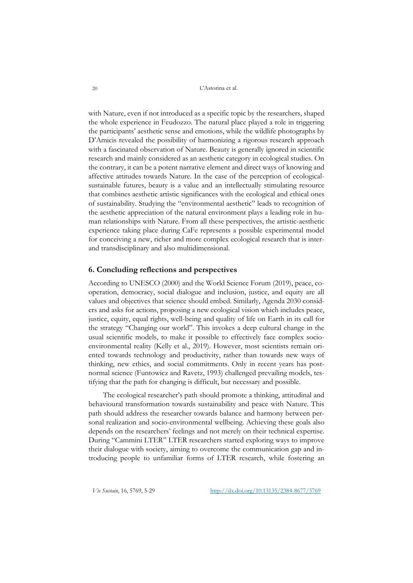with Nature, even if not introduced as a specific topic by the researchers, shaped the whole experience in Feudozzo. The natural place played a role in triggering the participants' aesthetic sense and emotions, while the wildlife photographs by D'Amicis revealed the possibility of harmonizing a rigorous research approach with a fascinated observation of Nature. Beauty is generally ignored in scientific research and mainly considered as an aesthetic category in ecological studies. On the contrary, it can be a potent narrative element and direct ways of knowing and affective attitudes towards Nature. In the case of the perception of ecologicalsustainable futures, beauty is a value and an intellectually stimulating resource that combines aesthetic artistic significances with the ecological and ethical ones of sustainability. Studying the "environmental aesthetic" leads to recognition of the aesthetic appreciation of the natural environment plays a leading role in human relationships with Nature. From all these perspectives, the artistic-aesthetic experience taking place during CaFe represents a possible experimental model for conceiving a new, richer and more complex ecological research that is interand transdisciplinary and also multidimensional.

# **6. Concluding reflections and perspectives**

According to UNESCO (2000) and the World Science Forum (2019), peace, cooperation, democracy, social dialogue and inclusion, justice, and equity are all values and objectives that science should embed. Similarly, Agenda 2030 considers and asks for actions, proposing a new ecological vision which includes peace, justice, equity, equal rights, well-being and quality of life on Earth in its call for the strategy "Changing our world". This invokes a deep cultural change in the usual scientific models, to make it possible to effectively face complex socioenvironmental reality (Kelly et al., 2019). However, most scientists remain oriented towards technology and productivity, rather than towards new ways of thinking, new ethics, and social commitments. Only in recent years has postnormal science (Funtowicz and Ravetz, 1993) challenged prevailing models, testifying that the path for changing is difficult, but necessary and possible.

The ecological researcher's path should promote a thinking, attitudinal and behavioural transformation towards sustainability and peace with Nature. This path should address the researcher towards balance and harmony between personal realization and socio-environmental wellbeing. Achieving these goals also depends on the researchers' feelings and not merely on their technical expertise. During "Cammini LTER" LTER researchers started exploring ways to improve their dialogue with society, aiming to overcome the communication gap and introducing people to unfamiliar forms of LTER research, while fostering an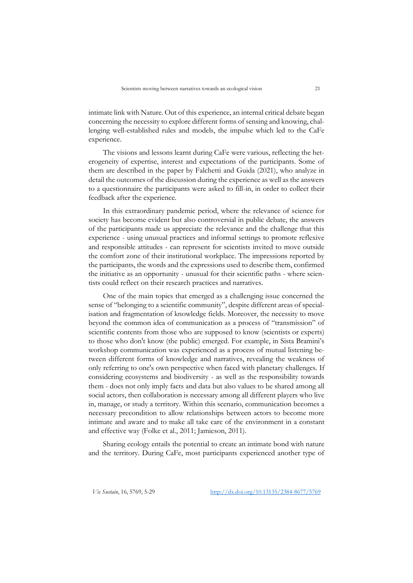intimate link with Nature. Out of this experience, an internal critical debate began concerning the necessity to explore different forms of sensing and knowing, challenging well-established rules and models, the impulse which led to the CaFe experience.

The visions and lessons learnt during CaFe were various, reflecting the heterogeneity of expertise, interest and expectations of the participants. Some of them are described in the paper by Falchetti and Guida (2021), who analyze in detail the outcomes of the discussion during the experience as well as the answers to a questionnaire the participants were asked to fill-in, in order to collect their feedback after the experience.

In this extraordinary pandemic period, where the relevance of science for society has become evident but also controversial in public debate, the answers of the participants made us appreciate the relevance and the challenge that this experience - using unusual practices and informal settings to promote reflexive and responsible attitudes - can represent for scientists invited to move outside the comfort zone of their institutional workplace. The impressions reported by the participants, the words and the expressions used to describe them, confirmed the initiative as an opportunity - unusual for their scientific paths - where scientists could reflect on their research practices and narratives.

One of the main topics that emerged as a challenging issue concerned the sense of "belonging to a scientific community", despite different areas of specialisation and fragmentation of knowledge fields. Moreover, the necessity to move beyond the common idea of communication as a process of "transmission" of scientific contents from those who are supposed to know (scientists or experts) to those who don't know (the public) emerged. For example, in Sista Bramini's workshop communication was experienced as a process of mutual listening between different forms of knowledge and narratives, revealing the weakness of only referring to one's own perspective when faced with planetary challenges. If considering ecosystems and biodiversity - as well as the responsibility towards them - does not only imply facts and data but also values to be shared among all social actors, then collaboration is necessary among all different players who live in, manage, or study a territory. Within this scenario, communication becomes a necessary precondition to allow relationships between actors to become more intimate and aware and to make all take care of the environment in a constant and effective way (Folke et al., 2011; Jamieson, 2011).

Sharing ecology entails the potential to create an intimate bond with nature and the territory. During CaFe, most participants experienced another type of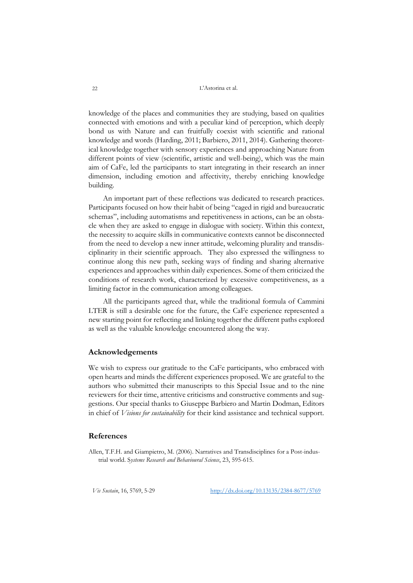knowledge of the places and communities they are studying, based on qualities connected with emotions and with a peculiar kind of perception, which deeply bond us with Nature and can fruitfully coexist with scientific and rational knowledge and words (Harding, 2011; Barbiero, 2011, 2014). Gathering theoretical knowledge together with sensory experiences and approaching Nature from different points of view (scientific, artistic and well-being), which was the main aim of CaFe, led the participants to start integrating in their research an inner dimension, including emotion and affectivity, thereby enriching knowledge building.

An important part of these reflections was dedicated to research practices. Participants focused on how their habit of being "caged in rigid and bureaucratic schemas", including automatisms and repetitiveness in actions, can be an obstacle when they are asked to engage in dialogue with society. Within this context, the necessity to acquire skills in communicative contexts cannot be disconnected from the need to develop a new inner attitude, welcoming plurality and transdisciplinarity in their scientific approach. They also expressed the willingness to continue along this new path, seeking ways of finding and sharing alternative experiences and approaches within daily experiences. Some of them criticized the conditions of research work, characterized by excessive competitiveness, as a limiting factor in the communication among colleagues.

All the participants agreed that, while the traditional formula of Cammini LTER is still a desirable one for the future, the CaFe experience represented a new starting point for reflecting and linking together the different paths explored as well as the valuable knowledge encountered along the way.

## **Acknowledgements**

We wish to express our gratitude to the CaFe participants, who embraced with open hearts and minds the different experiences proposed. We are grateful to the authors who submitted their manuscripts to this Special Issue and to the nine reviewers for their time, attentive criticisms and constructive comments and suggestions. Our special thanks to Giuseppe Barbiero and Martin Dodman, Editors in chief of *Visions for sustainability* for their kind assistance and technical support.

# **References**

Allen, T.F.H. and Giampietro, M. (2006). Narratives and Transdisciplines for a Post-industrial world. S*ystems Research and Behavioural Science*, 23, 595-615.

*Vis Sustain*, 16, 5769, 5-29 [http://dx.doi.org/10.13135/2384-8677/5](http://dx.doi.org/10.13135/2384-8677/)769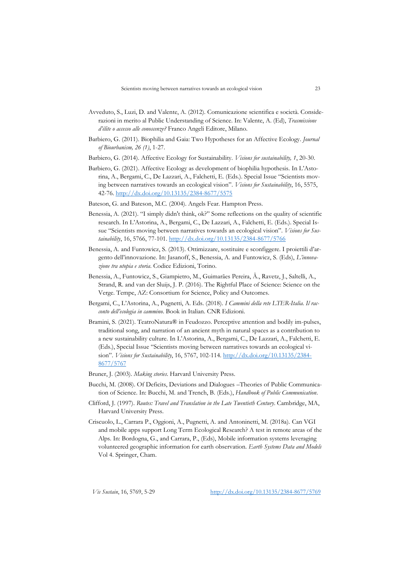- Avveduto, S., Luzi, D. and Valente, A. (2012). Comunicazione scientifica e società. Considerazioni in merito al Public Understanding of Science. In: Valente, A. (Ed), *Trasmissione d'élite o accesso alle conoscenze?* Franco Angeli Editore, Milano.
- Barbiero, G. (2011). Biophilia and Gaia: Two Hypotheses for an Affective Ecology. *Journal of Biourbanism, 26 (1)*, 1-27.
- Barbiero, G. (2014). Affective Ecology for Sustainability. *Visions for sustainability, 1*, 20-30.
- Barbiero, G. (2021). Affective Ecology as development of biophilia hypothesis. In L'Astorina, A., Bergami, C., De Lazzari, A., Falchetti, E. (Eds.). Special Issue "Scientists moving between narratives towards an ecological vision". *Visions for Sustainability*, 16, 5575, 42-76.<http://dx.doi.org/10.13135/2384-8677/5575>
- Bateson, G. and Bateson, M.C. (2004). Angels Fear. Hampton Press.
- Benessia, A. (2021). "I simply didn't think, ok?" Some reflections on the quality of scientific research. In L'Astorina, A., Bergami, C., De Lazzari, A., Falchetti, E. (Eds.). Special Issue "Scientists moving between narratives towards an ecological vision". *Visions for Sustainability*, 16, 5766, 77-101[. http://dx.doi.org/10.13135/2384-8677/5766](http://dx.doi.org/10.13135/2384-8677/5766)
- Benessia, A. and Funtowicz, S. (2013). Ottimizzare, sostituire e sconfiggere. I proiettili d'argento dell'innovazione. In: Jasanoff, S., Benessia, A. and Funtowicz, S. (Eds), *L'innovazione tra utopia e storia*. Codice Edizioni, Torino.
- Benessia, A., Funtowicz, S., Giampietro, M., Guimarães Pereira, Â., Ravetz, J., Saltelli, A., Strand, R. and van der Sluijs, J. P. (2016). The Rightful Place of Science: Science on the Verge. Tempe, AZ: Consortium for Science, Policy and Outcomes.
- Bergami, C., L'Astorina, A., Pugnetti, A. Eds. (2018). *I Cammini della rete LTER-Italia. Il racconto dell'ecologia in cammino*. Book in Italian. CNR Edizioni.
- Bramini, S. (2021). TeatroNatura® in Feudozzo. Perceptive attention and bodily im-pulses, traditional song, and narration of an ancient myth in natural spaces as a contribution to a new sustainability culture. In L'Astorina, A., Bergami, C., De Lazzari, A., Falchetti, E. (Eds.), Special Issue "Scientists moving between narratives towards an ecological vision". *Visions for Sustainability*, 16, 5767, 102-114. [http://dx.doi.org/10.13135/2384-](http://dx.doi.org/10.13135/2384-8677/5767) [8677/5767](http://dx.doi.org/10.13135/2384-8677/5767)
- Bruner, J. (2003). *Making stories*. Harvard University Press.
- Bucchi, M. (2008). Of Deficits, Deviations and Dialogues –Theories of Public Communication of Science. In: Bucchi, M. and Trench, B. (Eds.), *Handbook of Public Communication*.
- Clifford, J. (1997). *Routes: Travel and Translation in the Late Twentieth Century*. Cambridge, MA, Harvard University Press.
- Criscuolo, L., Carrara P., Oggioni, A., Pugnetti, A. and Antoninetti, M. (2018a). Can VGI and mobile apps support Long Term Ecological Research? A test in remote areas of the Alps. In: Bordogna, G., and Carrara, P., (Eds), Mobile information systems leveraging volunteered geographic information for earth observation. *Earth Systems Data and Models* Vol 4. Springer, Cham.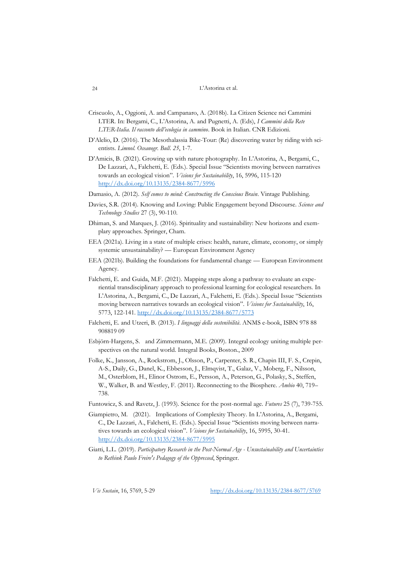- Criscuolo, A., Oggioni, A. and Campanaro, A. (2018b). La Citizen Science nei Cammini LTER. In: Bergami, C., L'Astorina, A. and Pugnetti, A. (Eds), *I Cammini della Rete LTER-Italia. Il racconto dell'ecologia in cammino*. Book in Italian. CNR Edizioni.
- D'Alelio, D. (2016). The Mesothalassia Bike-Tour: (Re) discovering water by riding with scientists. *Limnol. Oceanogr. Bull*. *25*, 1-7.
- D'Amicis, B. (2021). Growing up with nature photography. In L'Astorina, A., Bergami, C., De Lazzari, A., Falchetti, E. (Eds.). Special Issue "Scientists moving between narratives towards an ecological vision". *Visions for Sustainability*, 16, 5996, 115-120 <http://dx.doi.org/10.13135/2384-8677/5996>
- Damasio, A. (2012). *Self comes to mind: Constructing the Conscious Brain*. Vintage Publishing.
- Davies, S.R. (2014). Knowing and Loving: Public Engagement beyond Discourse. *Science and Technology Studies* 27 (3), 90-110.
- Dhiman, S. and Marques, J. (2016). Spirituality and sustainability: New horizons and exemplary approaches. Springer, Cham.
- EEA (2021a). Living in a state of multiple crises: health, nature, climate, economy, or simply systemic unsustainability? — European Environment Agency
- EEA (2021b). Building the foundations for fundamental change European Environment Agency.
- Falchetti, E. and Guida, M.F. (2021). Mapping steps along a pathway to evaluate an experiential transdisciplinary approach to professional learning for ecological researchers. In L'Astorina, A., Bergami, C., De Lazzari, A., Falchetti, E. (Eds.). Special Issue "Scientists moving between narratives towards an ecological vision". *Visions for Sustainability*, 16, 5773, 122-141.<http://dx.doi.org/10.13135/2384-8677/5773>
- Falchetti, E. and Utzeri, B. (2013). *I linguaggi della sostenibilità*. ANMS e-book, ISBN 978 88 908819 09
- Esbjörn-Hargens, S. and Zimmermann, M.E. (2009). Integral ecology uniting multiple perspectives on the natural world. Integral Books, Boston., 2009
- Folke, K., Jansson, A., Rockstrom, J., Olsson, P., Carpenter, S. R., Chapin III, F. S., Crepin, A-S., Daily, G., Danel, K., Ebbesson, J., Elmqvist, T., Galaz, V., Moberg, F., Nilsson, M., Osterblom, H., Elinor Ostrom, E., Persson, A., Peterson, G., Polasky, S., Steffen, W., Walker, B. and Westley, F. (2011). Reconnecting to the Biosphere. *Ambio* 40, 719– 738.
- Funtowicz, S. and Ravetz, J. (1993). Science for the post-normal age. *Futures* 25 (7), 739-755.
- Giampietro, M. (2021). Implications of Complexity Theory. In L'Astorina, A., Bergami, C., De Lazzari, A., Falchetti, E. (Eds.). Special Issue "Scientists moving between narratives towards an ecological vision". *Visions for Sustainability*, 16, 5995, 30-41. <http://dx.doi.org/10.13135/2384-8677/5995>
- Giatti, L.L. (2019). *Participatory Research in the Post-Normal Age - Unsustainability and Uncertainties to Rethink Paulo Freire's Pedagogy of the Oppressed*, Springer.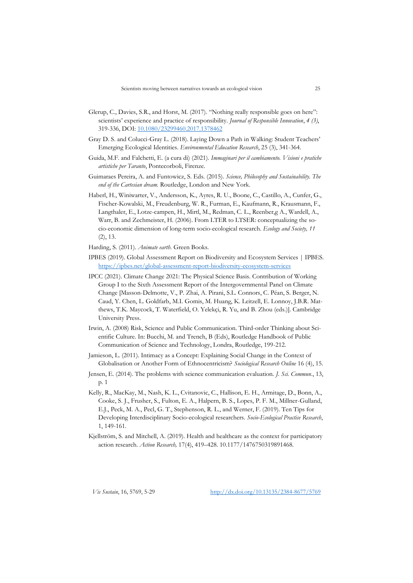- Glerup, C., Davies, S.R., and Horst, M. (2017). "Nothing really responsible goes on here": scientists' experience and practice of responsibility. *Journal of Responsible Innovation*, *4 (3)*, 319-336, DOI: [10.1080/23299460.2017.1378462](https://doi.org/10.1080/23299460.2017.1378462)
- Gray D. S. and Colucci-Gray L. (2018). Laying Down a Path in Walking: Student Teachers' Emerging Ecological Identities. *Environmental Education Research*, 25 (3), 341-364.
- Guida, M.F. and Falchetti, E. (a cura di) (2021). *Immaginari per il cambiamento. Visioni e pratiche artistiche per Taranto*, Pontecorboli, Firenze.
- Guimaraes Pereira, A. and Funtowicz, S. Eds. (2015). *Science, Philosophy and Sustainability. The end of the Cartesian dream.* Routledge, London and New York.
- Haberl, H., Winiwarter, V., Andersson, K., Ayres, R. U., Boone, C., Castillo, A., Cunfer, G., Fischer-Kowalski, M., Freudenburg, W. R., Furman, E., Kaufmann, R., Krausmann, F., Langthaler, E., Lotze-campen, H., Mirtl, M., Redman, C. L., Reenber,g A., Wardell, A., Warr, B. and Zechmeister, H. (2006). From LTER to LTSER: conceptualizing the socio-economic dimension of long-term socio-ecological research. *Ecology and Society, 11* (2), 13.
- Harding, S. (2011). *Animate earth*. Green Books.
- IPBES (2019). Global Assessment Report on Biodiversity and Ecosystem Services | IPBES. <https://ipbes.net/global-assessment-report-biodiversity-ecosystem-services>
- IPCC (2021). Climate Change 2021: The Physical Science Basis. Contribution of Working Group I to the Sixth Assessment Report of the Intergovernmental Panel on Climate Change [Masson-Delmotte, V., P. Zhai, A. Pirani, S.L. Connors, C. Péan, S. Berger, N. Caud, Y. Chen, L. Goldfarb, M.I. Gomis, M. Huang, K. Leitzell, E. Lonnoy, J.B.R. Matthews, T.K. Maycock, T. Waterfield, O. Yelekçi, R. Yu, and B. Zhou (eds.)]. Cambridge University Press.
- Irwin, A. (2008) Risk, Science and Public Communication. Third-order Thinking about Scientific Culture. In: Bucchi, M. and Trench, B (Eds), Routledge Handbook of Public Communication of Science and Technology, Londra, Routledge, 199-212.
- Jamieson, L. (2011). Intimacy as a Concept: Explaining Social Change in the Context of Globalisation or Another Form of Ethnocentricism? *Sociological Research Online* 16 (4), 15.
- Jensen, E. (2014). The problems with science communication evaluation. *J. Sci. Commun*., 13, p. 1
- Kelly, R., MacKay, M., Nash, K. L., Cvitanovic, C., Hallison, E. H., Armitage, D., Bonn, A., Cooke, S. J., Frusher, S., Fulton, E. A., Halpern, B. S., Lopes, P. F. M., Millner-Gulland, E.J., Peck, M. A., Pecl, G. T., Stephenson, R. L., and Werner, F. (2019). Ten Tips for Developing Interdisciplinary Socio-ecological researchers. *Socio-Ecological Practise Research*, 1, 149-161.
- Kjellström, S. and Mitchell, A. (2019). Health and healthcare as the context for participatory action research. *Action Research,* 17(4), 419–428. 10.1177/1476750319891468.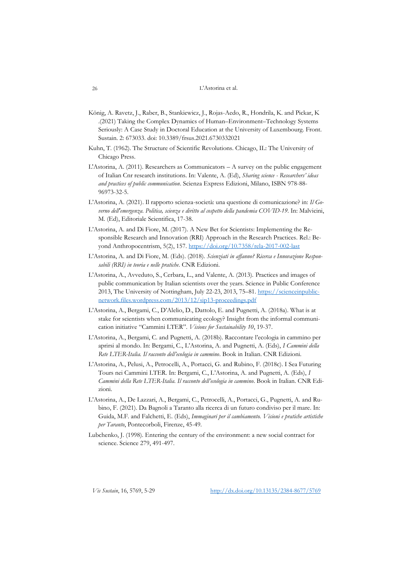- König, A. Ravetz, J., Raber, B., Stankiewicz, J., Rojas-Aedo, R., Hondrila, K. and Pickar, K .(2021) Taking the Complex Dynamics of Human–Environment–Technology Systems Seriously: A Case Study in Doctoral Education at the University of Luxembourg. Front. Sustain. 2: 673033. doi: 10.3389/frsus.2021.6730332021
- Kuhn, T. (1962). The Structure of Scientific Revolutions. Chicago, IL: The University of Chicago Press.
- L'Astorina, A. (2011). Researchers as Communicators  $-A$  survey on the public engagement of Italian Cnr research institutions. In: Valente, A. (Ed), *Sharing science - Researchers' ideas and practices of public communication*. Scienza Express Edizioni, Milano, ISBN 978-88- 96973-32-5.
- L'Astorina, A. (2021). Il rapporto scienza-società: una questione di comunicazione? in: *Il Governo dell'emergenza. Politica, scienza e diritto al cospetto della pandemia COVID-19*. In: Malvicini, M. (Ed), Editoriale Scientifica, 17-38.
- L'Astorina, A. and Di Fiore, M. (2017). A New Bet for Scientists: Implementing the Responsible Research and Innovation (RRI) Approach in the Research Practices. Rel.: Beyond Anthropocentrism, 5(2), 157.<https://doi.org/10.7358/rela-2017-002-last>
- L'Astorina, A. and Di Fiore, M. (Eds). (2018). *Scienziati in affanno? Ricerca e Innovazione Responsabili (RRI) in teoria e nelle pratiche*. CNR Edizioni.
- L'Astorina, A., Avveduto, S., Cerbara, L., and Valente, A. (2013). Practices and images of public communication by Italian scientists over the years. Science in Public Conference 2013, The University of Nottingham, July 22-23, 2013, 75–81. [https://scienceinpublic](https://scienceinpublicnetwork.files.wordpress.com/2013/12/sip13-proceedings.pdf)[network.files.wordpress.com/2013/12/sip13-proceedings.pdf](https://scienceinpublicnetwork.files.wordpress.com/2013/12/sip13-proceedings.pdf)
- L'Astorina, A., Bergami, C., D'Alelio, D., Dattolo, E. and Pugnetti, A. (2018a). What is at stake for scientists when communicating ecology? Insight from the informal communication initiative "Cammini LTER". *Visions for Sustainability 10*, 19-37.
- L'Astorina, A., Bergami, C. and Pugnetti, A. (2018b). Raccontare l'ecologia in cammino per aprirsi al mondo. In: Bergami, C., L'Astorina, A. and Pugnetti, A. (Eds), *I Cammini della Rete LTER-Italia. Il racconto dell'ecologia in cammino*. Book in Italian. CNR Edizioni.
- L'Astorina, A., Pelusi, A., Petrocelli, A., Portacci, G. and Rubino, F. (2018c). I Sea Futuring Tours nei Cammini LTER. In: Bergami, C., L'Astorina, A. and Pugnetti, A. (Eds), *I Cammini della Rete LTER-Italia. Il racconto dell'ecologia in cammino*. Book in Italian. CNR Edizioni.
- L'Astorina, A., De Lazzari, A., Bergami, C., Petrocelli, A., Portacci, G., Pugnetti, A. and Rubino, F. (2021). Da Bagnoli a Taranto alla ricerca di un futuro condiviso per il mare. In: Guida, M.F. and Falchetti, E. (Eds), *Immaginari per il cambiamento. Visioni e pratiche artistiche per Taranto*, Pontecorboli, Firenze, 45-49.
- Lubchenko, J. (1998). Entering the century of the environment: a new social contract for science. Science 279, 491-497.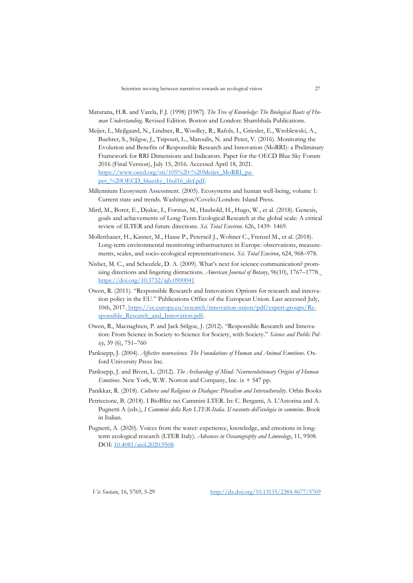- Maturana, H.R. and Varela, F.J. (1998) [1987]. *The Tree of Knowledge: The Biological Roots of Human Understanding*. Revised Edition. Boston and London: Shambhala Publications.
- Meijer, I., Mejlgaard, N., Lindner, R., Woolley, R., Rafols, I., Griesler, E., Wroblewski, A., Buehrer, S., Stilgoe, J., Tsipouri, L., Maroulis, N. and Peter, V. (2016). Monitoring the Evolution and Benefits of Responsible Research and Innovation (MoRRI): a Preliminary Framework for RRI Dimensions and Indicators. Paper for the OECD Blue Sky Forum 2016 (Final Version), July 15, 2016. Accessed April 18, 2021. [https://www.oecd.org/sti/105%20-%20Meijer\\_MoRRI\\_pa](https://www.oecd.org/sti/105%20-%20Meijer_MoRRI_paper_%20OECD_bluesky_16ul16_def.pdf)per<sup>%20OECD</sup> bluesky 16ul16 def.pdf.
- Millennium Ecosystem Assessment. (2005). Ecosystems and human well-being, volume 1: Current state and trends. Washington/Covelo/London: Island Press.
- Mirtl, M., Borer, E., Djukic, I., Forsius, M., Haubold, H., Hugo, W., et al. (2018). Genesis, goals and achievements of Long-Term Ecological Research at the global scale: A critical review of ILTER and future directions. *Sci. Total Environ.* 626, 1439- 1469.
- Mollenhauer, H., Kasner, M., Haase P., Peterseil J., Wohner C., Frenzel M., et al. (2018). Long-term environmental monitoring infrastructures in Europe: observations, measurements, scales, and socio-ecological representativeness. *Sci. Total Environ*, 624, 968–978.
- Nisbet, M. C., and Scheufele, D. A. (2009). What's next for science communication? promising directions and lingering distractions. *American Journal of Botany*, 96(10), 1767–177[8.](https://doi.org/10.3732/ajb.0900041) <https://doi.org/10.3732/ajb.0900041>
- Owen, R. (2011). "Responsible Research and Innovation: Options for research and innovation policy in the EU." Publications Office of the European Union. Last accessed July, 10th, 201[7.](https://ec.europa.eu/research/innovation-union/pdf/expert-groups/Responsible_Research_and_Innovation.pdf) [https://ec.europa.eu/research/innovation-union/pdf/expert-groups/Re](https://ec.europa.eu/research/innovation-union/pdf/expert-groups/Responsible_Research_and_Innovation.pdf)[sponsible\\_Research\\_and\\_Innovation.pdf.](https://ec.europa.eu/research/innovation-union/pdf/expert-groups/Responsible_Research_and_Innovation.pdf)
- Owen, R., Macnaghten, P. and Jack Stilgoe, J. (2012). "Responsible Research and Innovation: From Science in Society to Science for Society, with Society." *Science and Public Policy*, 39 (6), 751–760
- Panksepp, J. (2004). *Affective neuroscience. The Foundations of Human and Animal Emotions*. Oxford University Press Inc.
- Panksepp, J. and Biven, L. (2012). *The Archaeology of Mind: Neuroevolutionary Origins of Human Emotions*. New York, W.W. Norton and Company, Inc. ix + 547 pp.
- Panikkar, R. (2018). *Cultures and Religions in Dialogue: Pluralism and Interculturality*. Orbis Books
- Petriccione, B. (2018). I BioBlitz nei Cammini LTER. In: C. Bergami, A. L'Astorina and A. Pugnetti A (eds.), *I Cammini della Rete LTER-Italia. Il racconto dell'ecologia in cammino*. Book in Italian.
- Pugnetti, A. (2020). Voices from the water: experience, knowledge, and emotions in longterm ecological research (LTER Italy). *Advances in Oceanography and Limnology*, 11, 9508. DOI: [10.4081/aiol.2020.9508](https://doi.org/10.4081/aiol.2020.9508)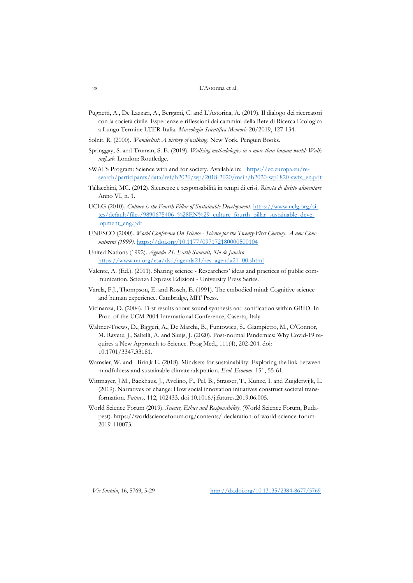- Pugnetti, A., De Lazzari, A., Bergami, C. and L'Astorina, A. (2019). Il dialogo dei ricercatori con la società civile. Esperienze e riflessioni dai cammini della Rete di Ricerca Ecologica a Lungo Termine LTER-Italia. *Museologia Scientifica Memorie* 20/2019, 127-134.
- Solnit, R. (2000). *Wanderlust: A history of walking*. New York, Penguin Books.
- Springgay, S. and Truman, S. E. (2019). *Walking methodologies in a more-than-human world: WalkingLab*. London: Routledge.
- SWAFS Program: Science with and for society. Available i[n:](http://ec.europa.eu/research/swafs/) [https://ec.europa.eu/re](https://ec.europa.eu/research/participants/data/ref/h2020/wp/2018-2020/main/h2020-wp1820-swfs_en.pdf)[search/participants/data/ref/h2020/wp/2018-2020/main/h2020-wp1820-swfs\\_en.pdf](https://ec.europa.eu/research/participants/data/ref/h2020/wp/2018-2020/main/h2020-wp1820-swfs_en.pdf)
- Tallacchini, MC. (2012). Sicurezze e responsabilità in tempi di crisi. *Rivista di diritto alimentare* Anno VI, n. 1.
- UCLG (2010). *Culture is the Fourth Pillar of Sustainable Development*. [https://www.uclg.org/si](https://www.uclg.org/sites/default/files/9890675406_%28EN%29_culture_fourth_pillar_sustainable_development_eng.pdf)[tes/default/files/9890675406\\_%28EN%29\\_culture\\_fourth\\_pillar\\_sustainable\\_deve](https://www.uclg.org/sites/default/files/9890675406_%28EN%29_culture_fourth_pillar_sustainable_development_eng.pdf)[lopment\\_eng.pdf](https://www.uclg.org/sites/default/files/9890675406_%28EN%29_culture_fourth_pillar_sustainable_development_eng.pdf)
- UNESCO (2000). *World Conference On Science - Science for the Twenty-First Century. A new Commitment (1999)*.<https://doi.org/10.1177/097172180000500104>
- United Nations (1992). *Agenda 21. Earth Summit, Rio de Janeiro* [https://www.un.org/esa/dsd/agenda21/res\\_agenda21\\_00.shtml](https://www.un.org/esa/dsd/agenda21/res_agenda21_00.shtml)
- Valente, A. (Ed.). (2011). Sharing science Researchers' ideas and practices of public communication. Scienza Express Edizioni - University Press Series.
- Varela, F.J., Thompson, E. and Rosch, E. (1991). The embodied mind: Cognitive science and human experience. Cambridge, MIT Press.
- Vicinanza, D. (2004). First results about sound synthesis and sonification within GRID. In Proc. of the UCM 2004 International Conference, Caserta, Italy.
- Waltner-Toews, D., Biggeri, A., De Marchi, B., Funtowicz, S., Giampietro, M., O'Connor, M. Ravetz, J., Saltelli, A. and Sluijs, J. (2020). Post-normal Pandemics: Why Covid-19 requires a New Approach to Science. Prog Med., 111(4), 202-204. doi: 10.1701/3347.33181.
- Wamsler, W. and Brin,k E. (2018). Mindsets for sustainability: Exploring the link between mindfulness and sustainable climate adaptation. *Ecol. Econom*. 151, 55-61.
- Wittmayer, J.M., Backhaus, J., Avelino, F., Pel, B., Strasser, T., Kunze, I. and Zuijderwijk, L. (2019). Narratives of change: How social innovation initiatives construct societal transformation. *Futures,* 112, 102433. doi 10.1016/j.futures.2019.06.005.
- World Science Forum (2019). *Science, Ethics and Responsibility*. (World Science Forum, Budapest). https://worldscienceforum.org/contents/ declaration-of-world-science-forum-2019-110073.